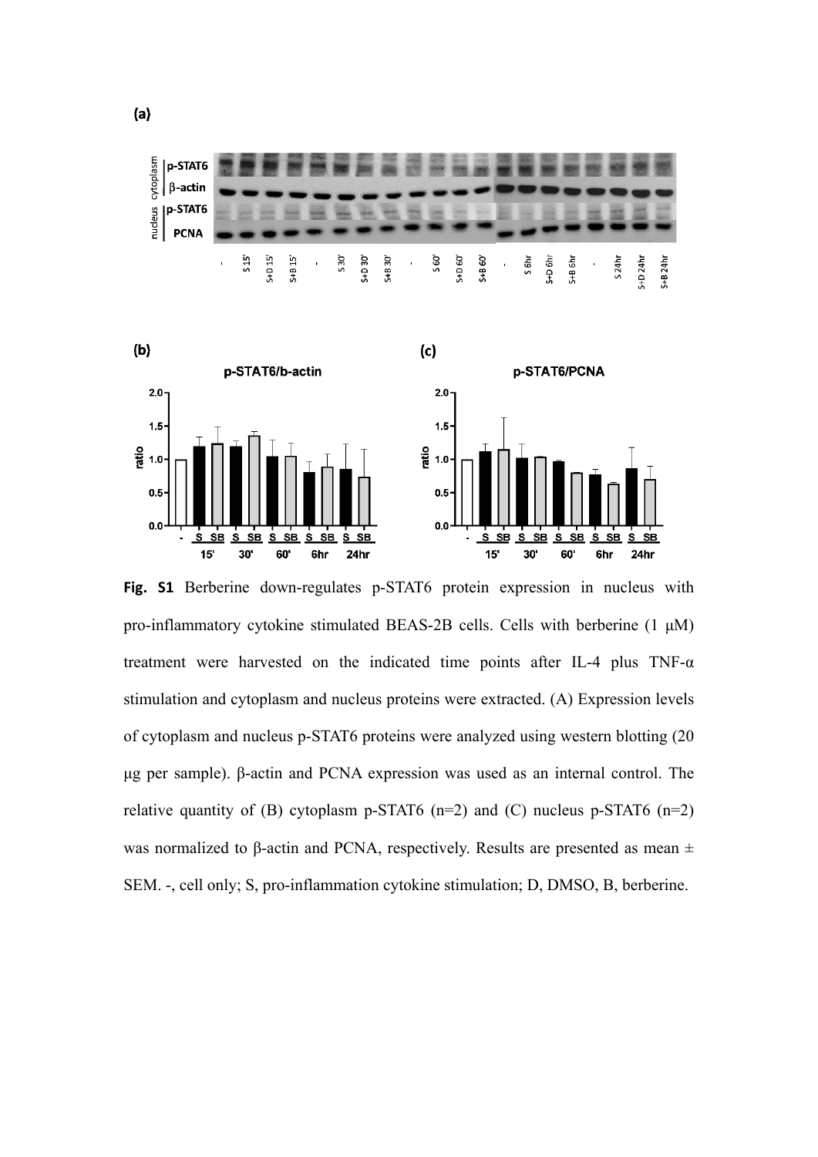

**Fig. S1** Berberine down-regulates p-STAT6 protein expression in nucleus with pro-inflammatory cytokine stimulated BEAS-2B cells. Cells with berberine (1 μM) treatment were harvested on the indicated time points after IL-4 plus TNF- $\alpha$ stimulation and cytoplasm and nucleus proteins were extracted. (A) Expression levels of cytoplasm and nucleus p-STAT6 proteins were analyzed using western blotting (20 μg per sample). β-actin and PCNA expression was used as an internal control. The relative quantity of (B) cytoplasm p-STAT6 (n=2) and (C) nucleus p-STAT6 (n=2) was normalized to β-actin and PCNA, respectively. Results are presented as mean  $±$ SEM. -, cell only; S, pro-inflammation cytokine stimulation; D, DMSO, B, berberine.